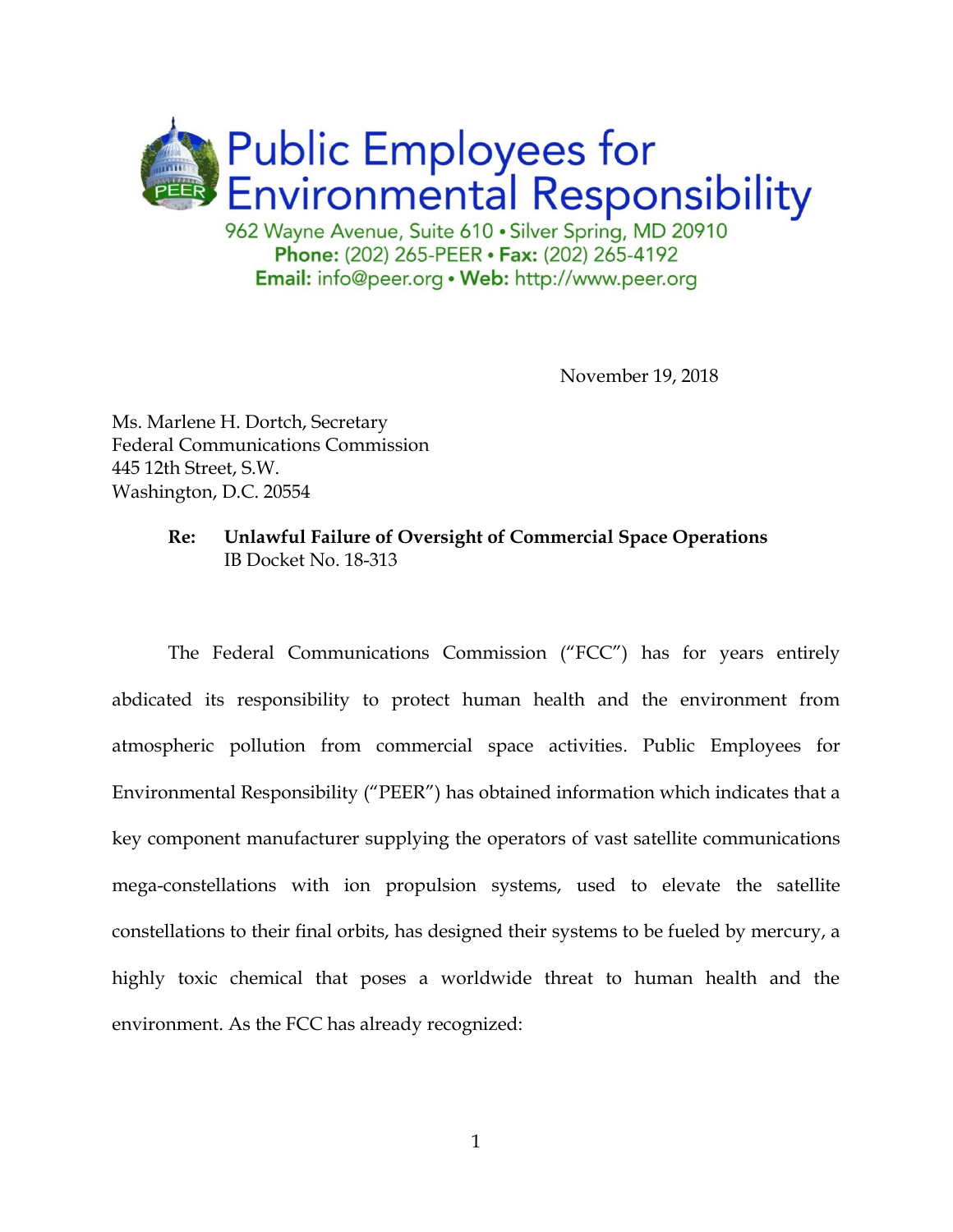

Phone: (202) 265-PEER · Fax: (202) 265-4192 **Email:** info@peer.org • Web: http://www.peer.org

November 19, 2018

Ms. Marlene H. Dortch, Secretary Federal Communications Commission 445 12th Street, S.W. Washington, D.C. 20554

## **Re: Unlawful Failure of Oversight of Commercial Space Operations** IB Docket No. 18-313

The Federal Communications Commission ("FCC") has for years entirely abdicated its responsibility to protect human health and the environment from atmospheric pollution from commercial space activities. Public Employees for Environmental Responsibility ("PEER") has obtained information which indicates that a key component manufacturer supplying the operators of vast satellite communications mega-constellations with ion propulsion systems, used to elevate the satellite constellations to their final orbits, has designed their systems to be fueled by mercury, a highly toxic chemical that poses a worldwide threat to human health and the environment. As the FCC has already recognized: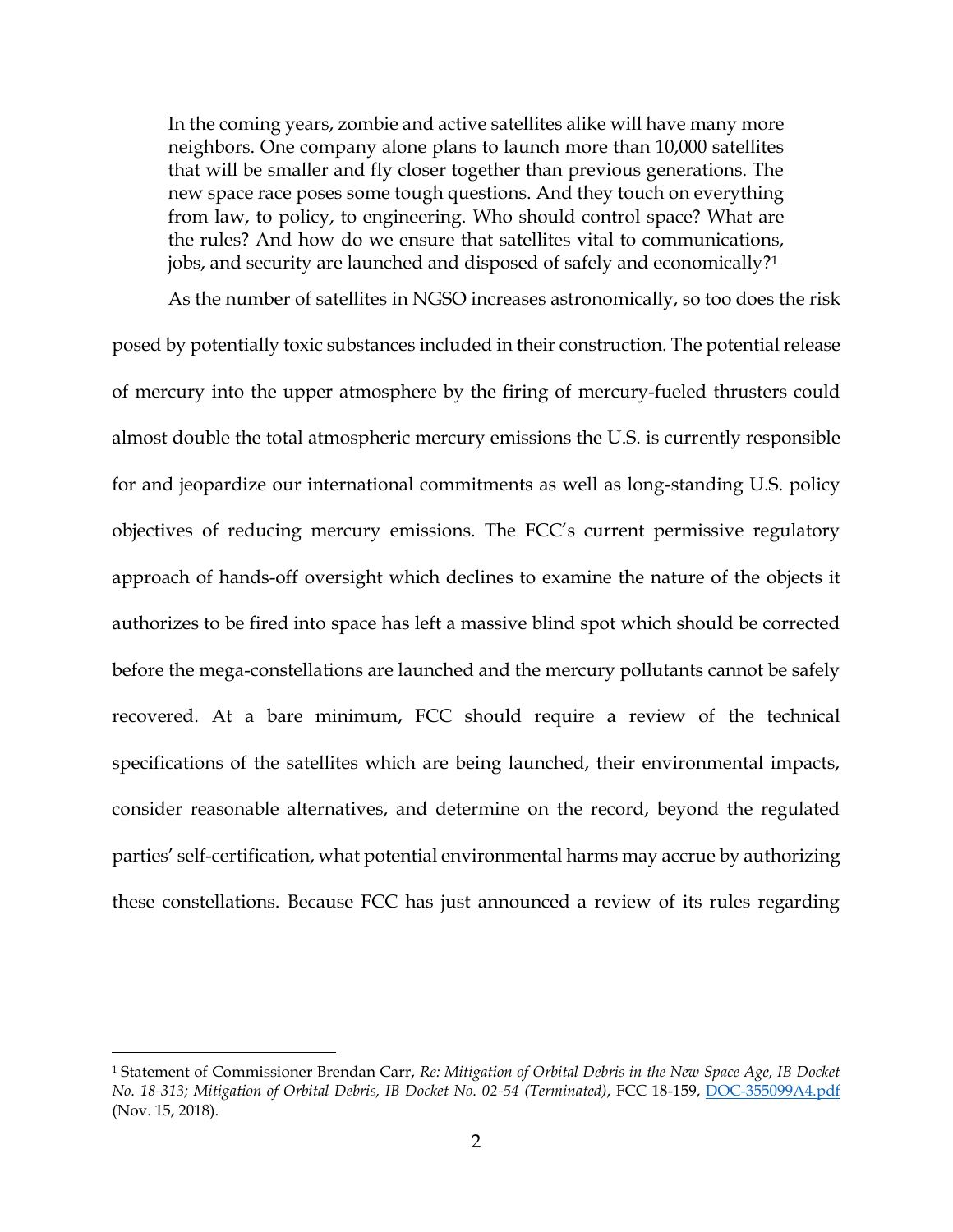In the coming years, zombie and active satellites alike will have many more neighbors. One company alone plans to launch more than 10,000 satellites that will be smaller and fly closer together than previous generations. The new space race poses some tough questions. And they touch on everything from law, to policy, to engineering. Who should control space? What are the rules? And how do we ensure that satellites vital to communications, jobs, and security are launched and disposed of safely and economically?<sup>1</sup>

As the number of satellites in NGSO increases astronomically, so too does the risk

posed by potentially toxic substances included in their construction. The potential release of mercury into the upper atmosphere by the firing of mercury-fueled thrusters could almost double the total atmospheric mercury emissions the U.S. is currently responsible for and jeopardize our international commitments as well as long-standing U.S. policy objectives of reducing mercury emissions. The FCC's current permissive regulatory approach of hands-off oversight which declines to examine the nature of the objects it authorizes to be fired into space has left a massive blind spot which should be corrected before the mega-constellations are launched and the mercury pollutants cannot be safely recovered. At a bare minimum, FCC should require a review of the technical specifications of the satellites which are being launched, their environmental impacts, consider reasonable alternatives, and determine on the record, beyond the regulated parties' self-certification, what potential environmental harms may accrue by authorizing these constellations. Because FCC has just announced a review of its rules regarding

 $\overline{a}$ 

<sup>1</sup> Statement of Commissioner Brendan Carr, *Re: Mitigation of Orbital Debris in the New Space Age, IB Docket No. 18-313; Mitigation of Orbital Debris, IB Docket No. 02-54 (Terminated)*, FCC 18-159, [DOC-355099A4.pdf](https://ecfsapi.fcc.gov/file/11150687223404/DOC-355099A4.pdf) (Nov. 15, 2018).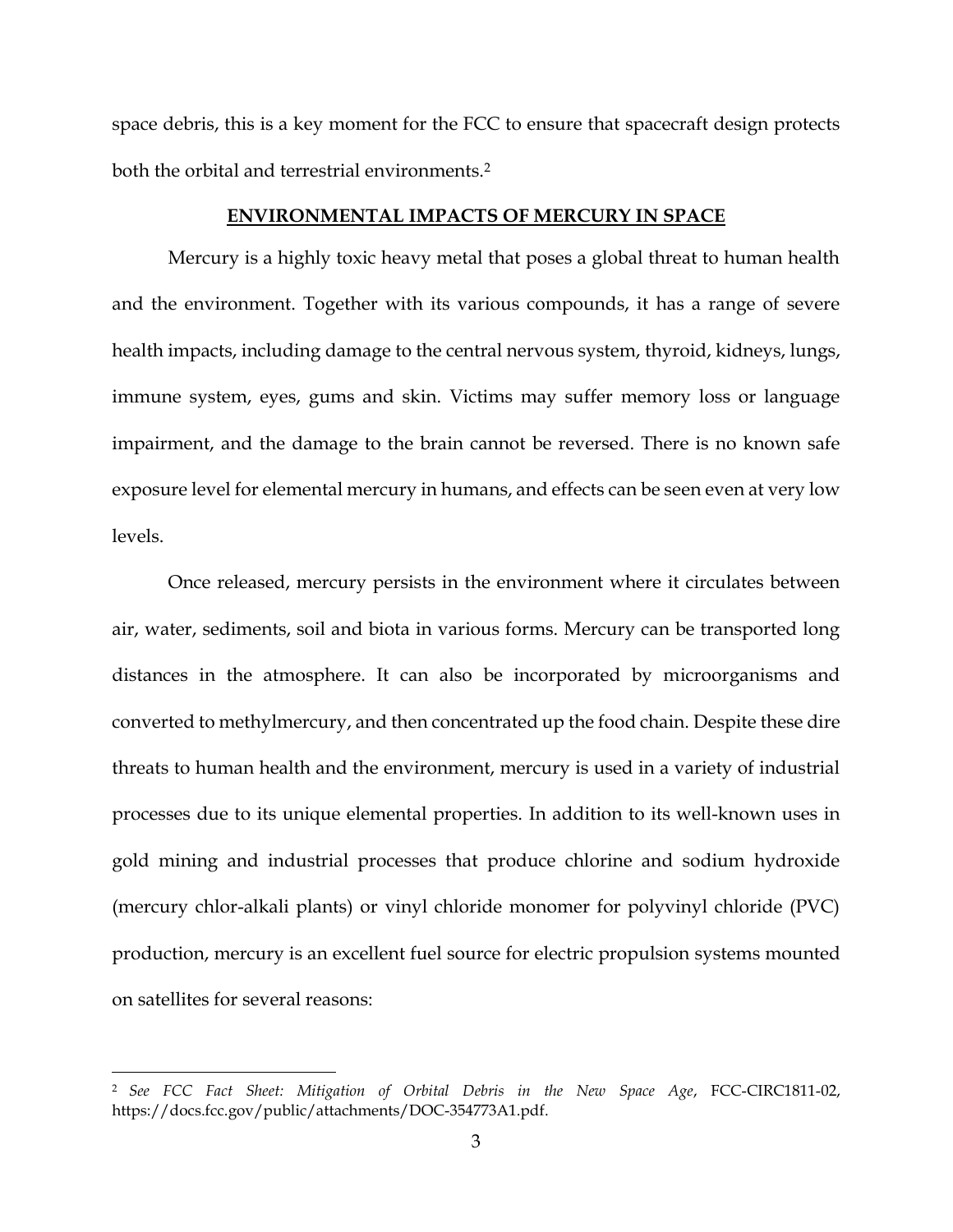space debris, this is a key moment for the FCC to ensure that spacecraft design protects both the orbital and terrestrial environments.<sup>2</sup>

#### **ENVIRONMENTAL IMPACTS OF MERCURY IN SPACE**

Mercury is a highly toxic heavy metal that poses a global threat to human health and the environment. Together with its various compounds, it has a range of severe health impacts, including damage to the central nervous system, thyroid, kidneys, lungs, immune system, eyes, gums and skin. Victims may suffer memory loss or language impairment, and the damage to the brain cannot be reversed. There is no known safe exposure level for elemental mercury in humans, and effects can be seen even at very low levels.

Once released, mercury persists in the environment where it circulates between air, water, sediments, soil and biota in various forms. Mercury can be transported long distances in the atmosphere. It can also be incorporated by microorganisms and converted to methylmercury, and then concentrated up the food chain. Despite these dire threats to human health and the environment, mercury is used in a variety of industrial processes due to its unique elemental properties. In addition to its well-known uses in gold mining and industrial processes that produce chlorine and sodium hydroxide (mercury chlor-alkali plants) or vinyl chloride monomer for polyvinyl chloride (PVC) production, mercury is an excellent fuel source for electric propulsion systems mounted on satellites for several reasons:

 $\overline{a}$ 

<sup>2</sup> *See FCC Fact Sheet: Mitigation of Orbital Debris in the New Space Age*, FCC-CIRC1811-02, https://docs.fcc.gov/public/attachments/DOC-354773A1.pdf.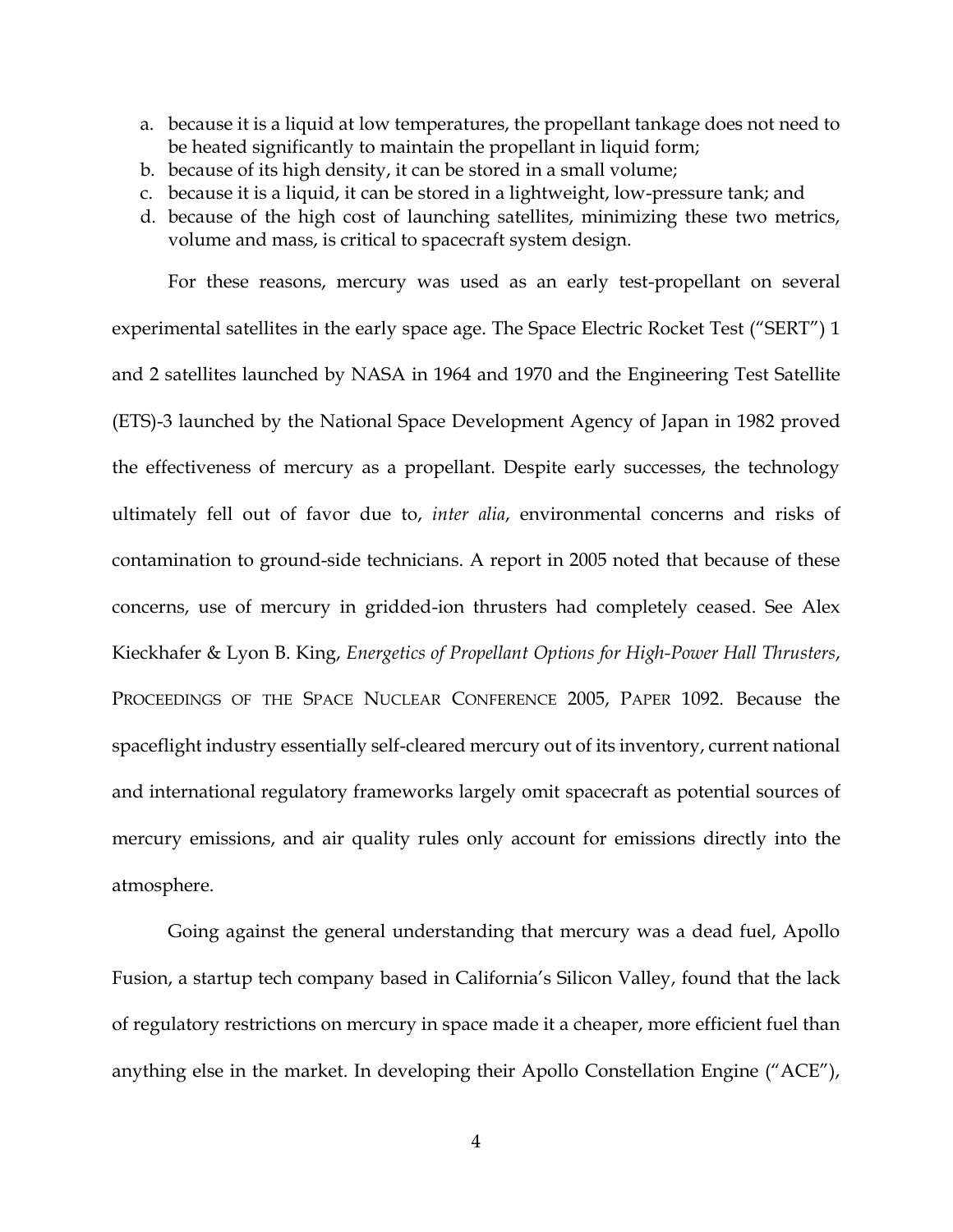- a. because it is a liquid at low temperatures, the propellant tankage does not need to be heated significantly to maintain the propellant in liquid form;
- b. because of its high density, it can be stored in a small volume;
- c. because it is a liquid, it can be stored in a lightweight, low-pressure tank; and
- d. because of the high cost of launching satellites, minimizing these two metrics, volume and mass, is critical to spacecraft system design.

For these reasons, mercury was used as an early test-propellant on several experimental satellites in the early space age. The Space Electric Rocket Test ("SERT") 1 and 2 satellites launched by NASA in 1964 and 1970 and the Engineering Test Satellite (ETS)-3 launched by the National Space Development Agency of Japan in 1982 proved the effectiveness of mercury as a propellant. Despite early successes, the technology ultimately fell out of favor due to, *inter alia*, environmental concerns and risks of contamination to ground-side technicians. A report in 2005 noted that because of these concerns, use of mercury in gridded-ion thrusters had completely ceased. See Alex Kieckhafer & Lyon B. King, *Energetics of Propellant Options for High-Power Hall Thrusters*, PROCEEDINGS OF THE SPACE NUCLEAR CONFERENCE 2005, PAPER 1092. Because the spaceflight industry essentially self-cleared mercury out of its inventory, current national and international regulatory frameworks largely omit spacecraft as potential sources of mercury emissions, and air quality rules only account for emissions directly into the atmosphere.

Going against the general understanding that mercury was a dead fuel, Apollo Fusion, a startup tech company based in California's Silicon Valley, found that the lack of regulatory restrictions on mercury in space made it a cheaper, more efficient fuel than anything else in the market. In developing their Apollo Constellation Engine ("ACE"),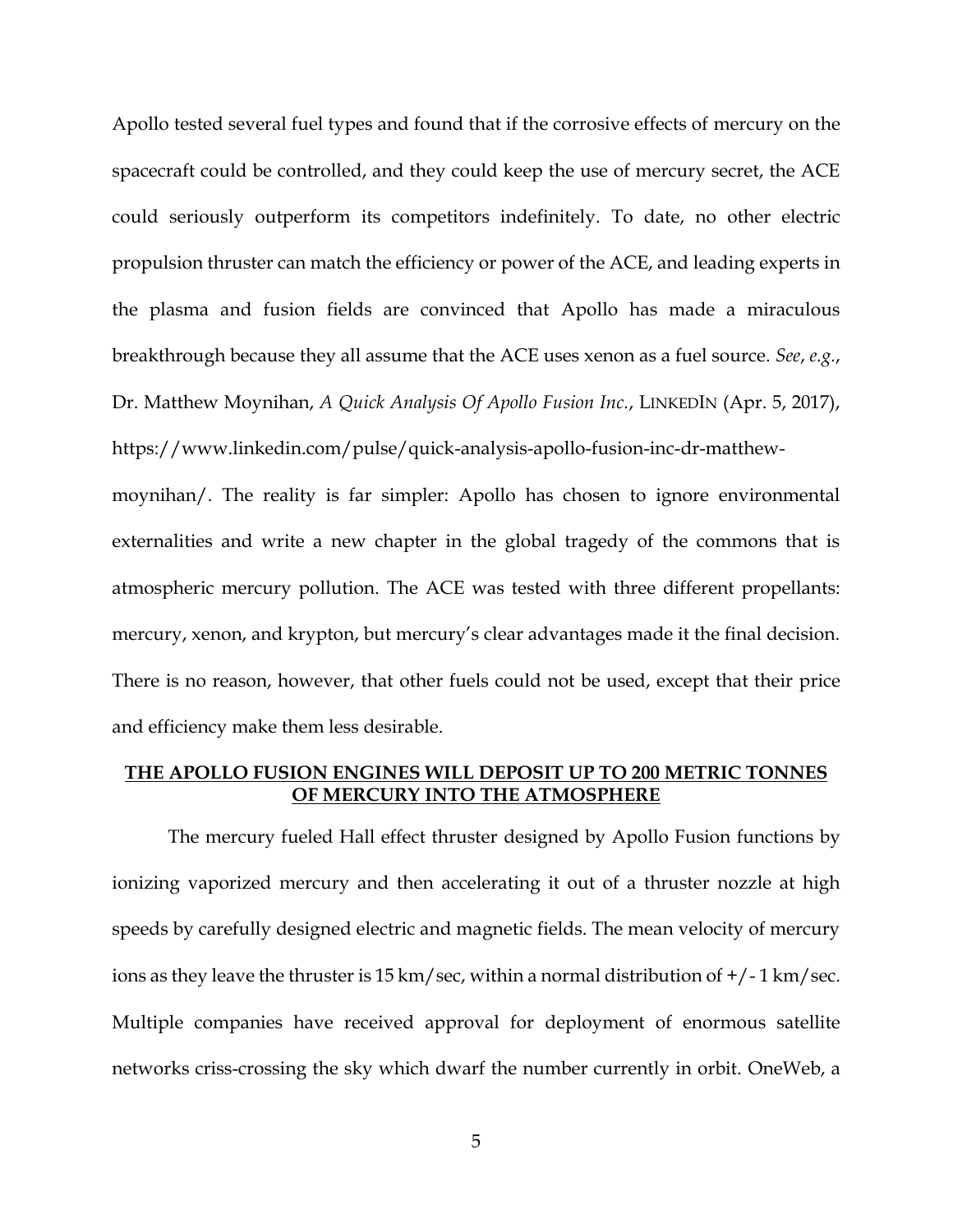Apollo tested several fuel types and found that if the corrosive effects of mercury on the spacecraft could be controlled, and they could keep the use of mercury secret, the ACE could seriously outperform its competitors indefinitely. To date, no other electric propulsion thruster can match the efficiency or power of the ACE, and leading experts in the plasma and fusion fields are convinced that Apollo has made a miraculous breakthrough because they all assume that the ACE uses xenon as a fuel source. *See*, *e.g.*, Dr. Matthew Moynihan, *A Quick Analysis Of Apollo Fusion Inc.*, LINKEDIN (Apr. 5, 2017), https://www.linkedin.com/pulse/quick-analysis-apollo-fusion-inc-dr-matthew-

moynihan/. The reality is far simpler: Apollo has chosen to ignore environmental externalities and write a new chapter in the global tragedy of the commons that is atmospheric mercury pollution. The ACE was tested with three different propellants: mercury, xenon, and krypton, but mercury's clear advantages made it the final decision. There is no reason, however, that other fuels could not be used, except that their price and efficiency make them less desirable.

#### **THE APOLLO FUSION ENGINES WILL DEPOSIT UP TO 200 METRIC TONNES OF MERCURY INTO THE ATMOSPHERE**

The mercury fueled Hall effect thruster designed by Apollo Fusion functions by ionizing vaporized mercury and then accelerating it out of a thruster nozzle at high speeds by carefully designed electric and magnetic fields. The mean velocity of mercury ions as they leave the thruster is 15 km/sec, within a normal distribution of  $+/-1$  km/sec. Multiple companies have received approval for deployment of enormous satellite networks criss-crossing the sky which dwarf the number currently in orbit. OneWeb, a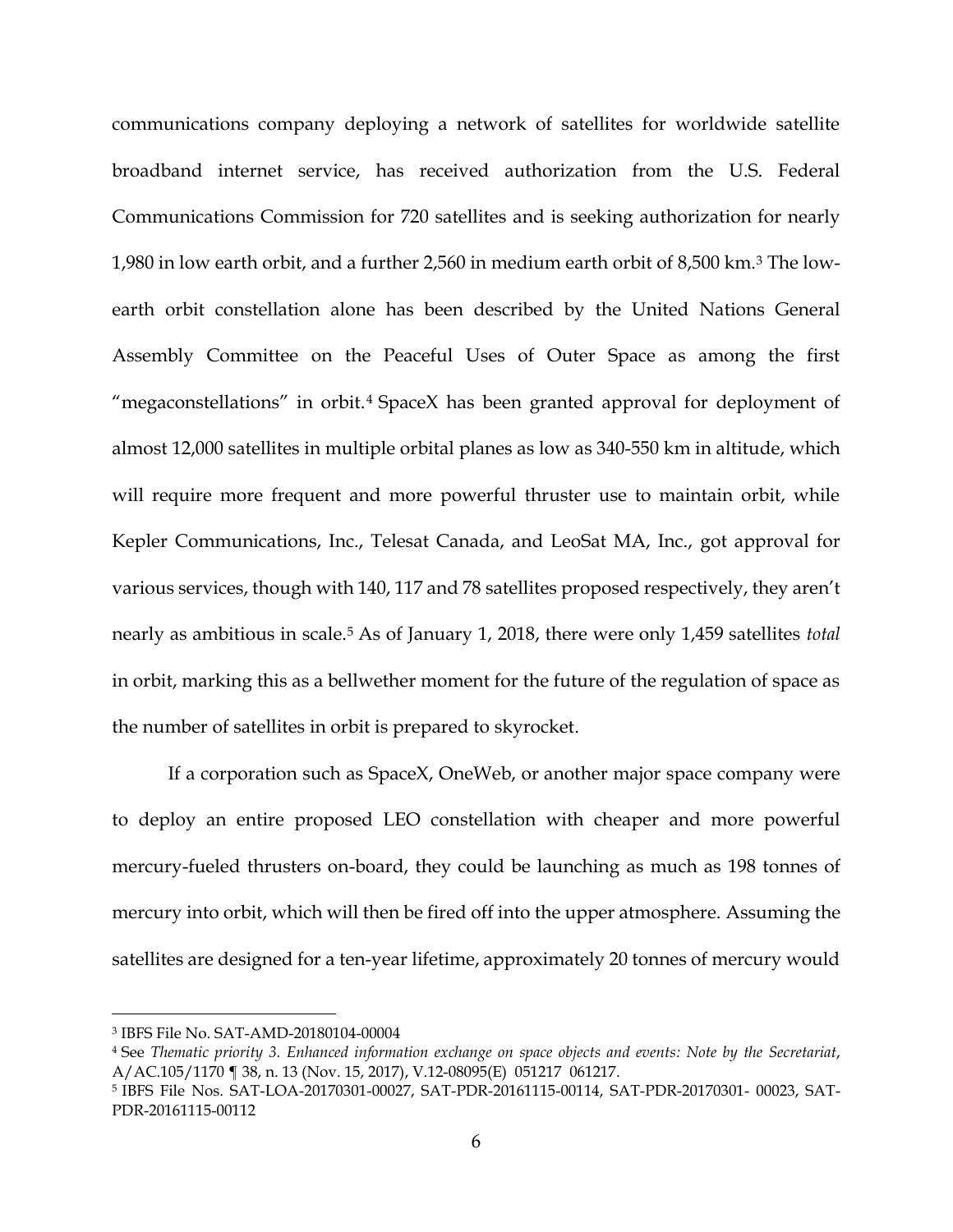communications company deploying a network of satellites for worldwide satellite broadband internet service, has received authorization from the U.S. Federal Communications Commission for 720 satellites and is seeking authorization for nearly 1,980 in low earth orbit, and a further 2,560 in medium earth orbit of 8,500 km.<sup>3</sup> The lowearth orbit constellation alone has been described by the United Nations General Assembly Committee on the Peaceful Uses of Outer Space as among the first "megaconstellations" in orbit.<sup>4</sup> SpaceX has been granted approval for deployment of almost 12,000 satellites in multiple orbital planes as low as 340-550 km in altitude, which will require more frequent and more powerful thruster use to maintain orbit, while Kepler Communications, Inc., Telesat Canada, and LeoSat MA, Inc., got approval for various services, though with 140, 117 and 78 satellites proposed respectively, they aren't nearly as ambitious in scale.<sup>5</sup> As of January 1, 2018, there were only 1,459 satellites *total*  in orbit, marking this as a bellwether moment for the future of the regulation of space as the number of satellites in orbit is prepared to skyrocket.

If a corporation such as SpaceX, OneWeb, or another major space company were to deploy an entire proposed LEO constellation with cheaper and more powerful mercury-fueled thrusters on-board, they could be launching as much as 198 tonnes of mercury into orbit, which will then be fired off into the upper atmosphere. Assuming the satellites are designed for a ten-year lifetime, approximately 20 tonnes of mercury would

 $\overline{a}$ 

<sup>3</sup> IBFS File No. SAT-AMD-20180104-00004

<sup>4</sup> See *Thematic priority 3. Enhanced information exchange on space objects and events: Note by the Secretariat*, A/AC.105/1170 ¶ 38, n. 13 (Nov. 15, 2017), V.12-08095(E) 051217 061217.

<sup>5</sup> IBFS File Nos. SAT-LOA-20170301-00027, SAT-PDR-20161115-00114, SAT-PDR-20170301- 00023, SAT-PDR-20161115-00112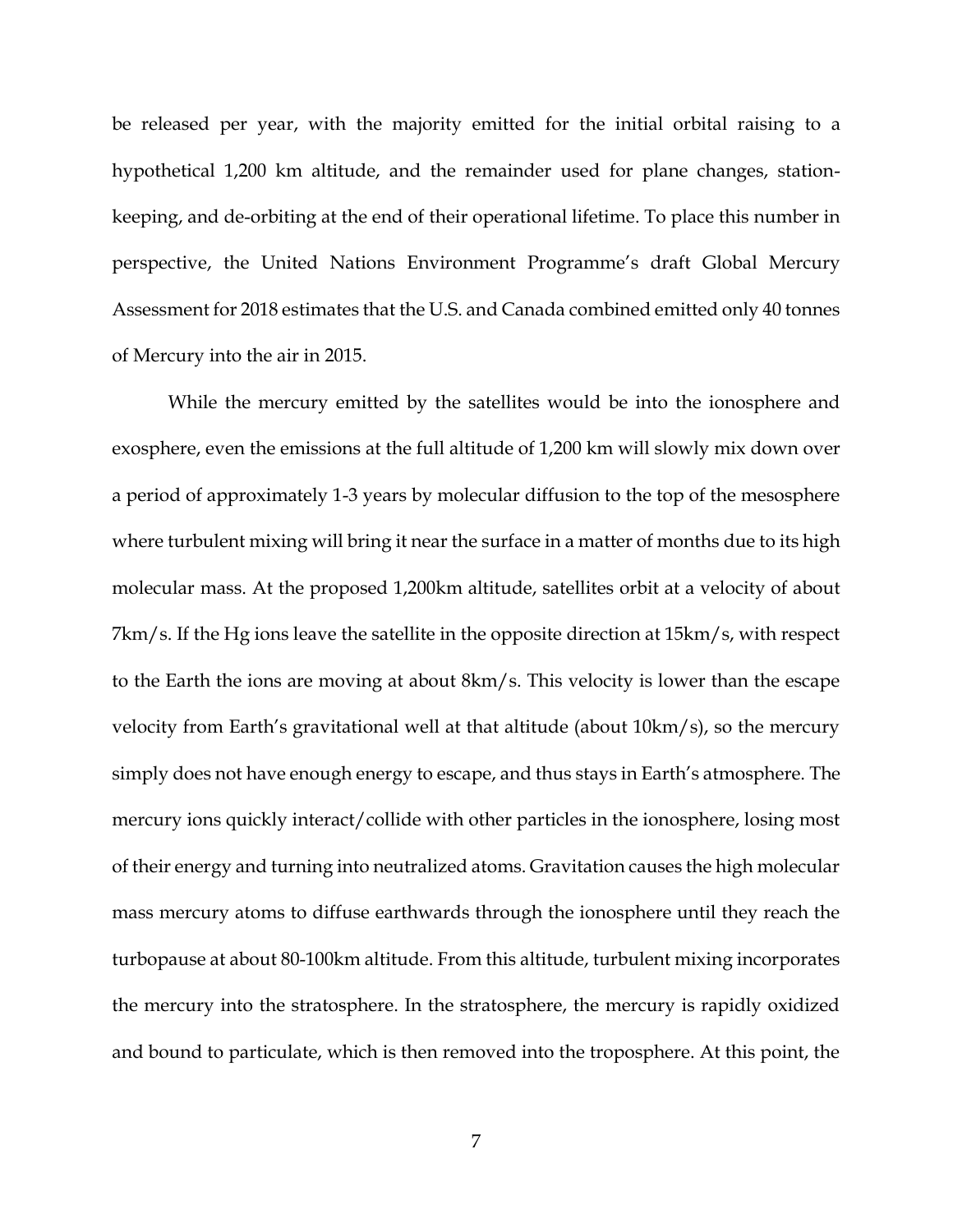be released per year, with the majority emitted for the initial orbital raising to a hypothetical 1,200 km altitude, and the remainder used for plane changes, stationkeeping, and de-orbiting at the end of their operational lifetime. To place this number in perspective, the United Nations Environment Programme's draft Global Mercury Assessment for 2018 estimates that the U.S. and Canada combined emitted only 40 tonnes of Mercury into the air in 2015.

While the mercury emitted by the satellites would be into the ionosphere and exosphere, even the emissions at the full altitude of 1,200 km will slowly mix down over a period of approximately 1-3 years by molecular diffusion to the top of the mesosphere where turbulent mixing will bring it near the surface in a matter of months due to its high molecular mass. At the proposed 1,200km altitude, satellites orbit at a velocity of about 7km/s. If the Hg ions leave the satellite in the opposite direction at 15km/s, with respect to the Earth the ions are moving at about 8km/s. This velocity is lower than the escape velocity from Earth's gravitational well at that altitude (about 10km/s), so the mercury simply does not have enough energy to escape, and thus stays in Earth's atmosphere. The mercury ions quickly interact/collide with other particles in the ionosphere, losing most of their energy and turning into neutralized atoms. Gravitation causes the high molecular mass mercury atoms to diffuse earthwards through the ionosphere until they reach the turbopause at about 80-100km altitude. From this altitude, turbulent mixing incorporates the mercury into the stratosphere. In the stratosphere, the mercury is rapidly oxidized and bound to particulate, which is then removed into the troposphere. At this point, the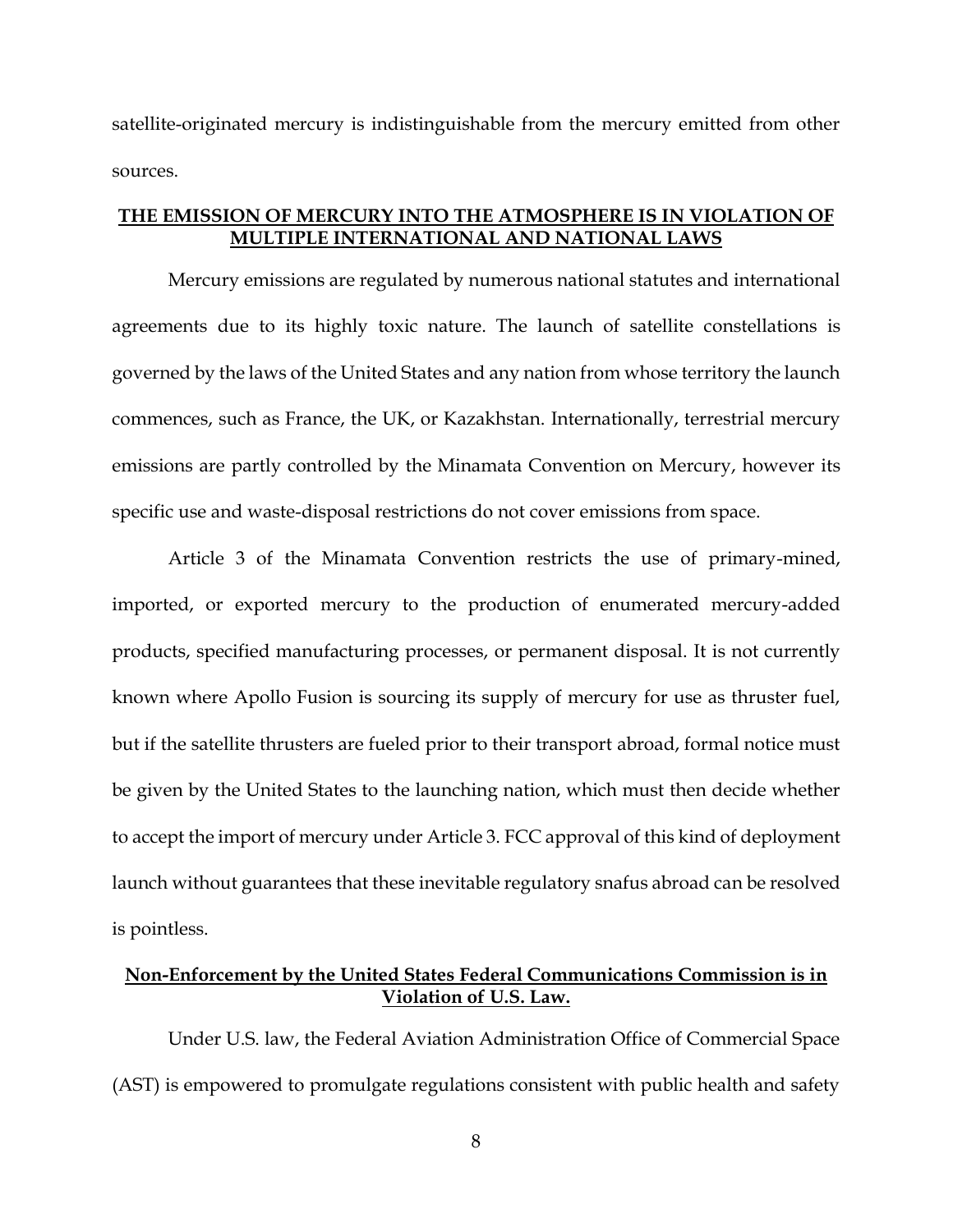satellite-originated mercury is indistinguishable from the mercury emitted from other sources.

## **THE EMISSION OF MERCURY INTO THE ATMOSPHERE IS IN VIOLATION OF MULTIPLE INTERNATIONAL AND NATIONAL LAWS**

Mercury emissions are regulated by numerous national statutes and international agreements due to its highly toxic nature. The launch of satellite constellations is governed by the laws of the United States and any nation from whose territory the launch commences, such as France, the UK, or Kazakhstan. Internationally, terrestrial mercury emissions are partly controlled by the Minamata Convention on Mercury, however its specific use and waste-disposal restrictions do not cover emissions from space.

Article 3 of the Minamata Convention restricts the use of primary-mined, imported, or exported mercury to the production of enumerated mercury-added products, specified manufacturing processes, or permanent disposal. It is not currently known where Apollo Fusion is sourcing its supply of mercury for use as thruster fuel, but if the satellite thrusters are fueled prior to their transport abroad, formal notice must be given by the United States to the launching nation, which must then decide whether to accept the import of mercury under Article 3. FCC approval of this kind of deployment launch without guarantees that these inevitable regulatory snafus abroad can be resolved is pointless.

# **Non-Enforcement by the United States Federal Communications Commission is in Violation of U.S. Law.**

Under U.S. law, the Federal Aviation Administration Office of Commercial Space (AST) is empowered to promulgate regulations consistent with public health and safety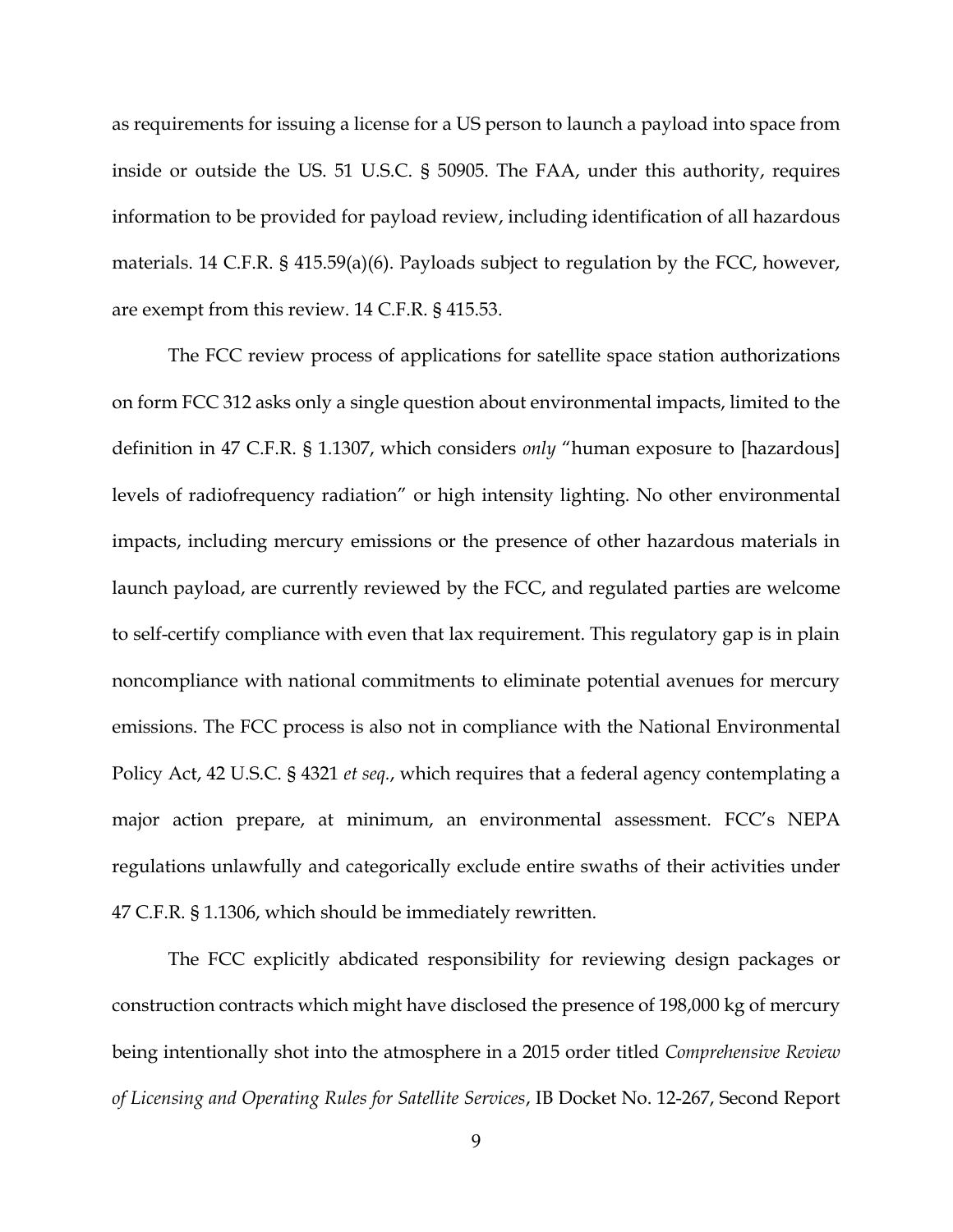as requirements for issuing a license for a US person to launch a payload into space from inside or outside the US. 51 U.S.C. § 50905. The FAA, under this authority, requires information to be provided for payload review, including identification of all hazardous materials. 14 C.F.R. § 415.59(a)(6). Payloads subject to regulation by the FCC, however, are exempt from this review. 14 C.F.R. § 415.53.

The FCC review process of applications for satellite space station authorizations on form FCC 312 asks only a single question about environmental impacts, limited to the definition in 47 C.F.R. § 1.1307, which considers *only* "human exposure to [hazardous] levels of radiofrequency radiation" or high intensity lighting. No other environmental impacts, including mercury emissions or the presence of other hazardous materials in launch payload, are currently reviewed by the FCC, and regulated parties are welcome to self-certify compliance with even that lax requirement. This regulatory gap is in plain noncompliance with national commitments to eliminate potential avenues for mercury emissions. The FCC process is also not in compliance with the National Environmental Policy Act, 42 U.S.C. § 4321 *et seq.*, which requires that a federal agency contemplating a major action prepare, at minimum, an environmental assessment. FCC's NEPA regulations unlawfully and categorically exclude entire swaths of their activities under 47 C.F.R. § 1.1306, which should be immediately rewritten.

The FCC explicitly abdicated responsibility for reviewing design packages or construction contracts which might have disclosed the presence of 198,000 kg of mercury being intentionally shot into the atmosphere in a 2015 order titled *Comprehensive Review of Licensing and Operating Rules for Satellite Services*, IB Docket No. 12-267, Second Report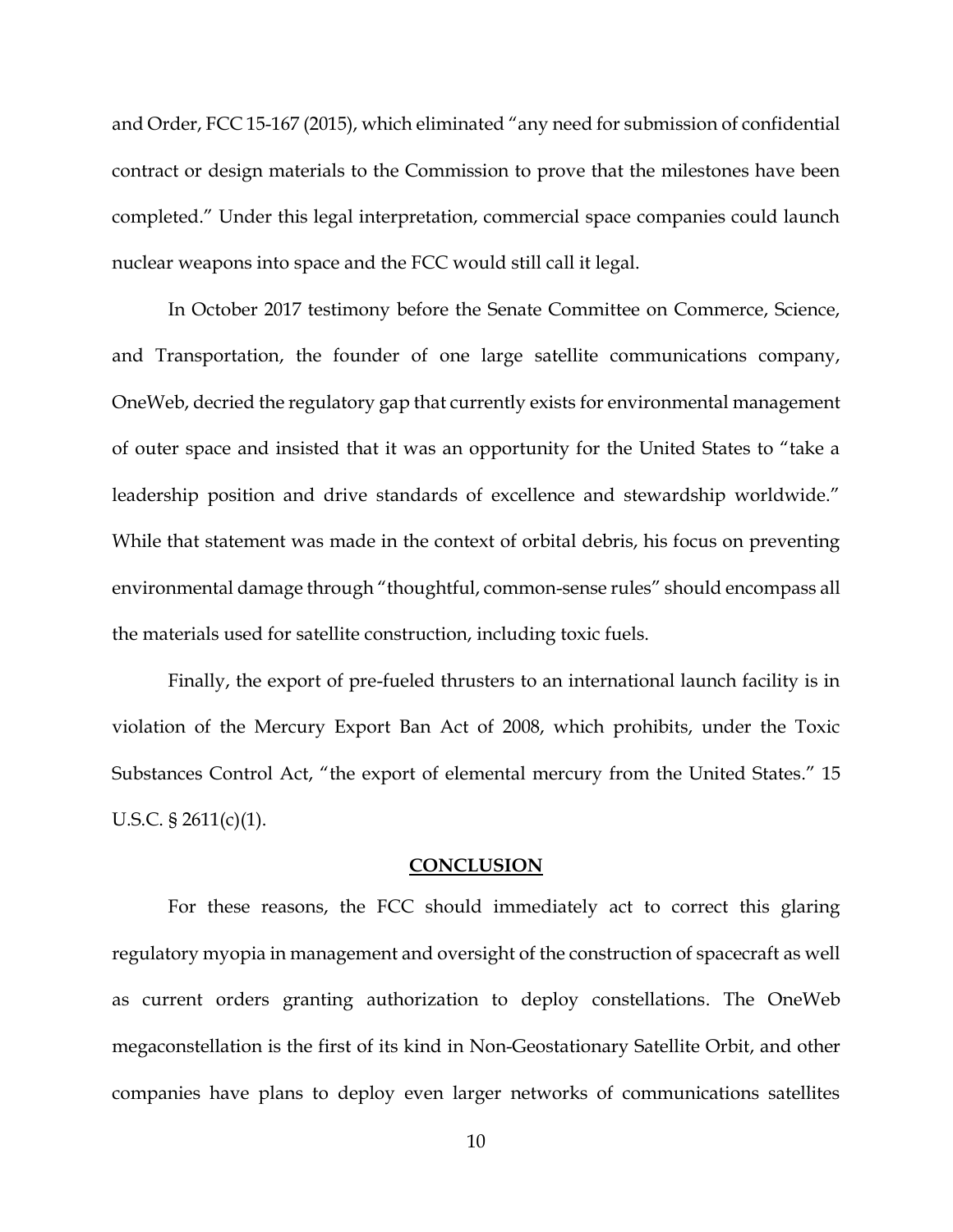and Order, FCC 15-167 (2015), which eliminated "any need for submission of confidential contract or design materials to the Commission to prove that the milestones have been completed." Under this legal interpretation, commercial space companies could launch nuclear weapons into space and the FCC would still call it legal.

In October 2017 testimony before the Senate Committee on Commerce, Science, and Transportation, the founder of one large satellite communications company, OneWeb, decried the regulatory gap that currently exists for environmental management of outer space and insisted that it was an opportunity for the United States to "take a leadership position and drive standards of excellence and stewardship worldwide." While that statement was made in the context of orbital debris, his focus on preventing environmental damage through "thoughtful, common-sense rules" should encompass all the materials used for satellite construction, including toxic fuels.

Finally, the export of pre-fueled thrusters to an international launch facility is in violation of the Mercury Export Ban Act of 2008, which prohibits, under the Toxic Substances Control Act, "the export of elemental mercury from the United States." 15 U.S.C. § 2611(c)(1).

#### **CONCLUSION**

For these reasons, the FCC should immediately act to correct this glaring regulatory myopia in management and oversight of the construction of spacecraft as well as current orders granting authorization to deploy constellations. The OneWeb megaconstellation is the first of its kind in Non-Geostationary Satellite Orbit, and other companies have plans to deploy even larger networks of communications satellites

10